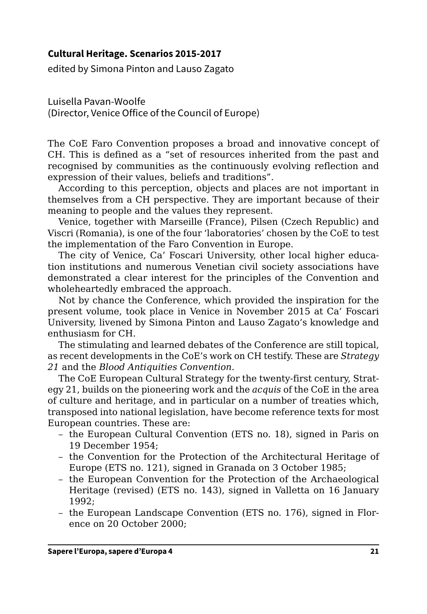## **Cultural Heritage. Scenarios 2015-2017**

edited by Simona Pinton and Lauso Zagato

Luisella Pavan-Woolfe (Director, Venice Office of the Council of Europe)

The CoE Faro Convention proposes a broad and innovative concept of CH. This is defined as a "set of resources inherited from the past and recognised by communities as the continuously evolving reflection and expression of their values, beliefs and traditions".

According to this perception, objects and places are not important in themselves from a CH perspective. They are important because of their meaning to people and the values they represent.

Venice, together with Marseille (France), Pilsen (Czech Republic) and Viscri (Romania), is one of the four 'laboratories' chosen by the CoE to test the implementation of the Faro Convention in Europe.

The city of Venice, Ca' Foscari University, other local higher education institutions and numerous Venetian civil society associations have demonstrated a clear interest for the principles of the Convention and wholeheartedly embraced the approach.

Not by chance the Conference, which provided the inspiration for the present volume, took place in Venice in November 2015 at Ca' Foscari University, livened by Simona Pinton and Lauso Zagato's knowledge and enthusiasm for CH.

The stimulating and learned debates of the Conference are still topical, as recent developments in the CoE's work on CH testify. These are *Strategy 21* and the *Blood Antiquities Convention*.

The CoE European Cultural Strategy for the twenty-first century, Strategy 21, builds on the pioneering work and the *acquis* of the CoE in the area of culture and heritage, and in particular on a number of treaties which, transposed into national legislation, have become reference texts for most European countries. These are:

- the European Cultural Convention (ETS no. 18), signed in Paris on 19 December 1954;
- the Convention for the Protection of the Architectural Heritage of Europe (ETS no. 121), signed in Granada on 3 October 1985;
- the European Convention for the Protection of the Archaeological Heritage (revised) (ETS no. 143), signed in Valletta on 16 January 1992;
- the European Landscape Convention (ETS no. 176), signed in Florence on 20 October 2000;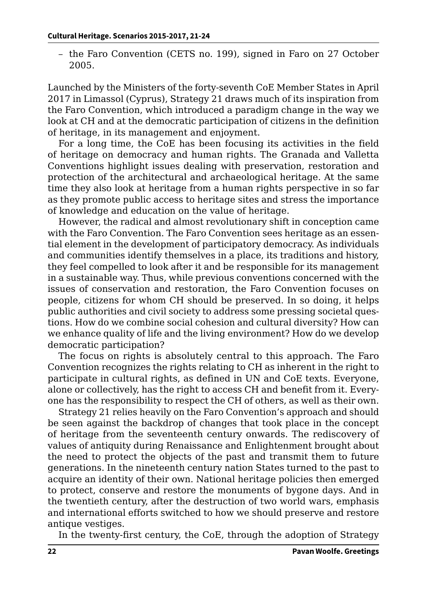– the Faro Convention (CETS no. 199), signed in Faro on 27 October 2005.

Launched by the Ministers of the forty-seventh CoE Member States in April 2017 in Limassol (Cyprus), Strategy 21 draws much of its inspiration from the Faro Convention, which introduced a paradigm change in the way we look at CH and at the democratic participation of citizens in the definition of heritage, in its management and enjoyment.

For a long time, the CoE has been focusing its activities in the field of heritage on democracy and human rights. The Granada and Valletta Conventions highlight issues dealing with preservation, restoration and protection of the architectural and archaeological heritage. At the same time they also look at heritage from a human rights perspective in so far as they promote public access to heritage sites and stress the importance of knowledge and education on the value of heritage.

However, the radical and almost revolutionary shift in conception came with the Faro Convention. The Faro Convention sees heritage as an essential element in the development of participatory democracy. As individuals and communities identify themselves in a place, its traditions and history, they feel compelled to look after it and be responsible for its management in a sustainable way. Thus, while previous conventions concerned with the issues of conservation and restoration, the Faro Convention focuses on people, citizens for whom CH should be preserved. In so doing, it helps public authorities and civil society to address some pressing societal questions. How do we combine social cohesion and cultural diversity? How can we enhance quality of life and the living environment? How do we develop democratic participation?

The focus on rights is absolutely central to this approach. The Faro Convention recognizes the rights relating to CH as inherent in the right to participate in cultural rights, as defined in UN and CoE texts. Everyone, alone or collectively, has the right to access CH and benefit from it. Everyone has the responsibility to respect the CH of others, as well as their own.

Strategy 21 relies heavily on the Faro Convention's approach and should be seen against the backdrop of changes that took place in the concept of heritage from the seventeenth century onwards. The rediscovery of values of antiquity during Renaissance and Enlightenment brought about the need to protect the objects of the past and transmit them to future generations. In the nineteenth century nation States turned to the past to acquire an identity of their own. National heritage policies then emerged to protect, conserve and restore the monuments of bygone days. And in the twentieth century, after the destruction of two world wars, emphasis and international efforts switched to how we should preserve and restore antique vestiges.

In the twenty-first century, the CoE, through the adoption of Strategy